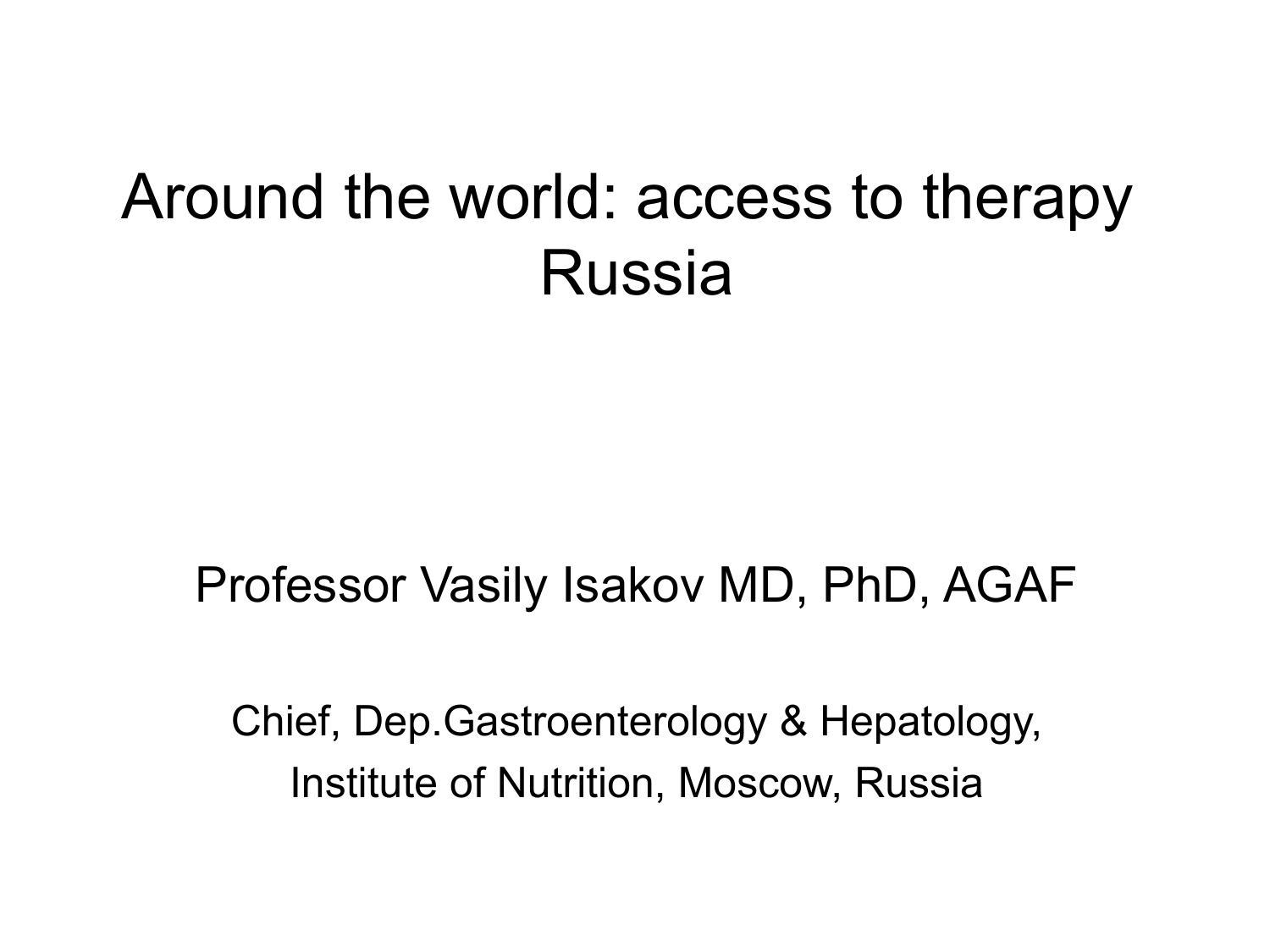### Around the world: access to therapy Russia

#### Professor Vasily Isakov MD, PhD, AGAF

Chief, Dep.Gastroenterology & Hepatology, Institute of Nutrition, Moscow, Russia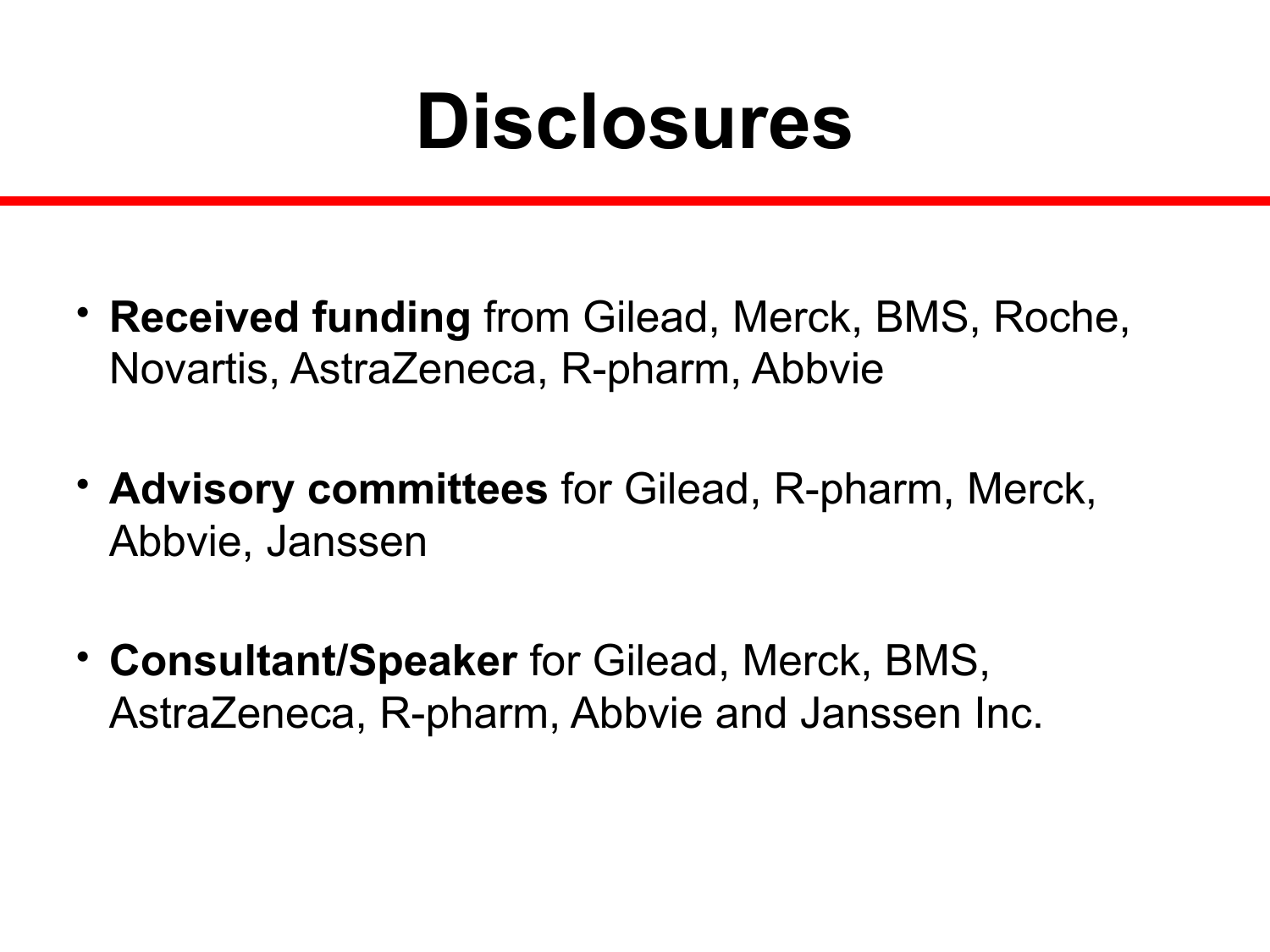## **Disclosures**

- **Received funding** from Gilead, Merck, BMS, Roche, Novartis, AstraZeneca, R-pharm, Abbvie
- **Advisory committees** for Gilead, R-pharm, Merck, Abbvie, Janssen
- **Consultant/Speaker** for Gilead, Merck, BMS, AstraZeneca, R-pharm, Abbvie and Janssen Inc.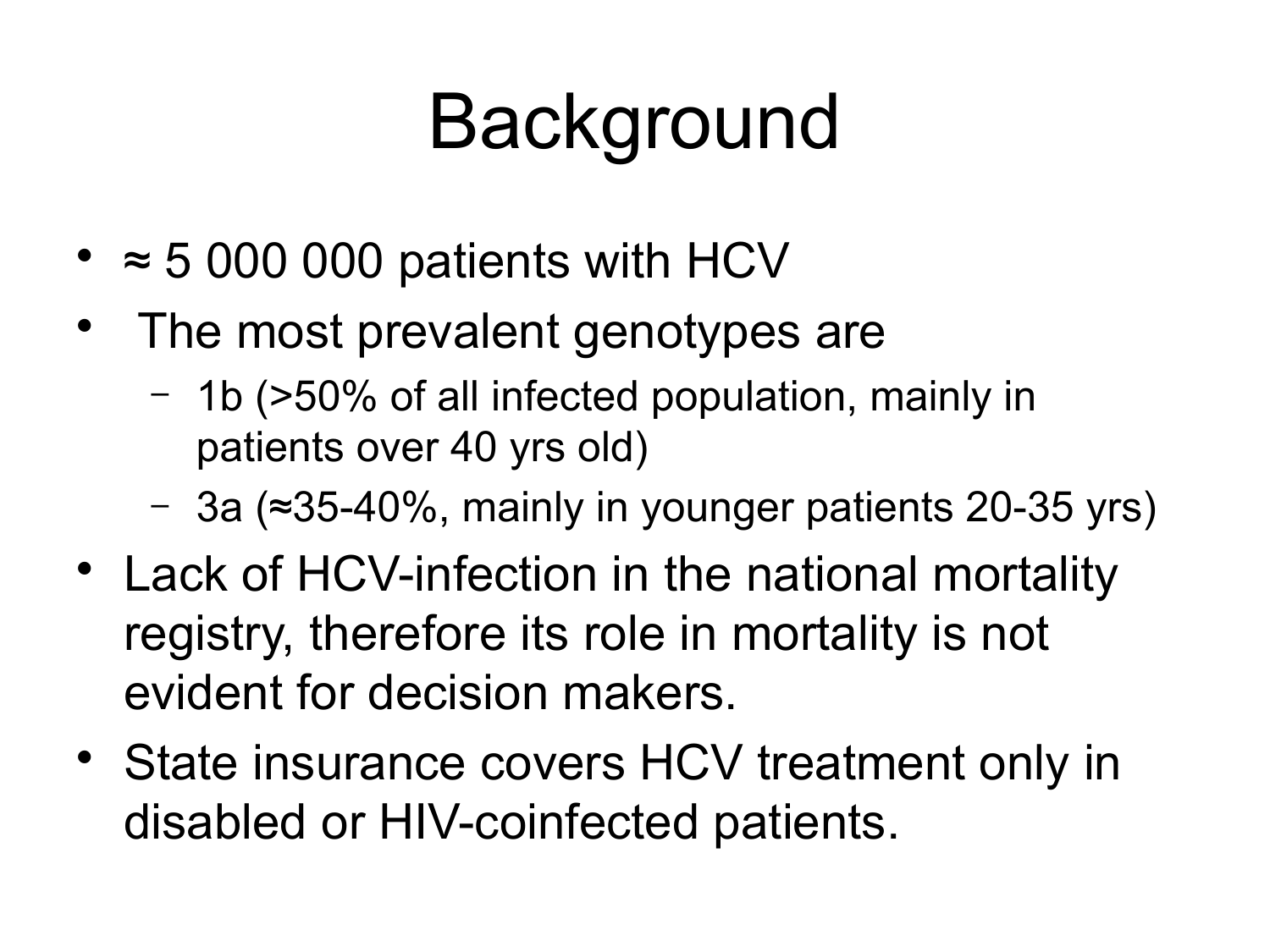# Background

- $\approx$  5 000 000 patients with HCV
- The most prevalent genotypes are
	- 1b (>50% of all infected population, mainly in patients over 40 yrs old)
	- 3a (≈35-40%, mainly in younger patients 20-35 yrs)
- Lack of HCV-infection in the national mortality registry, therefore its role in mortality is not evident for decision makers.
- State insurance covers HCV treatment only in disabled or HIV-coinfected patients.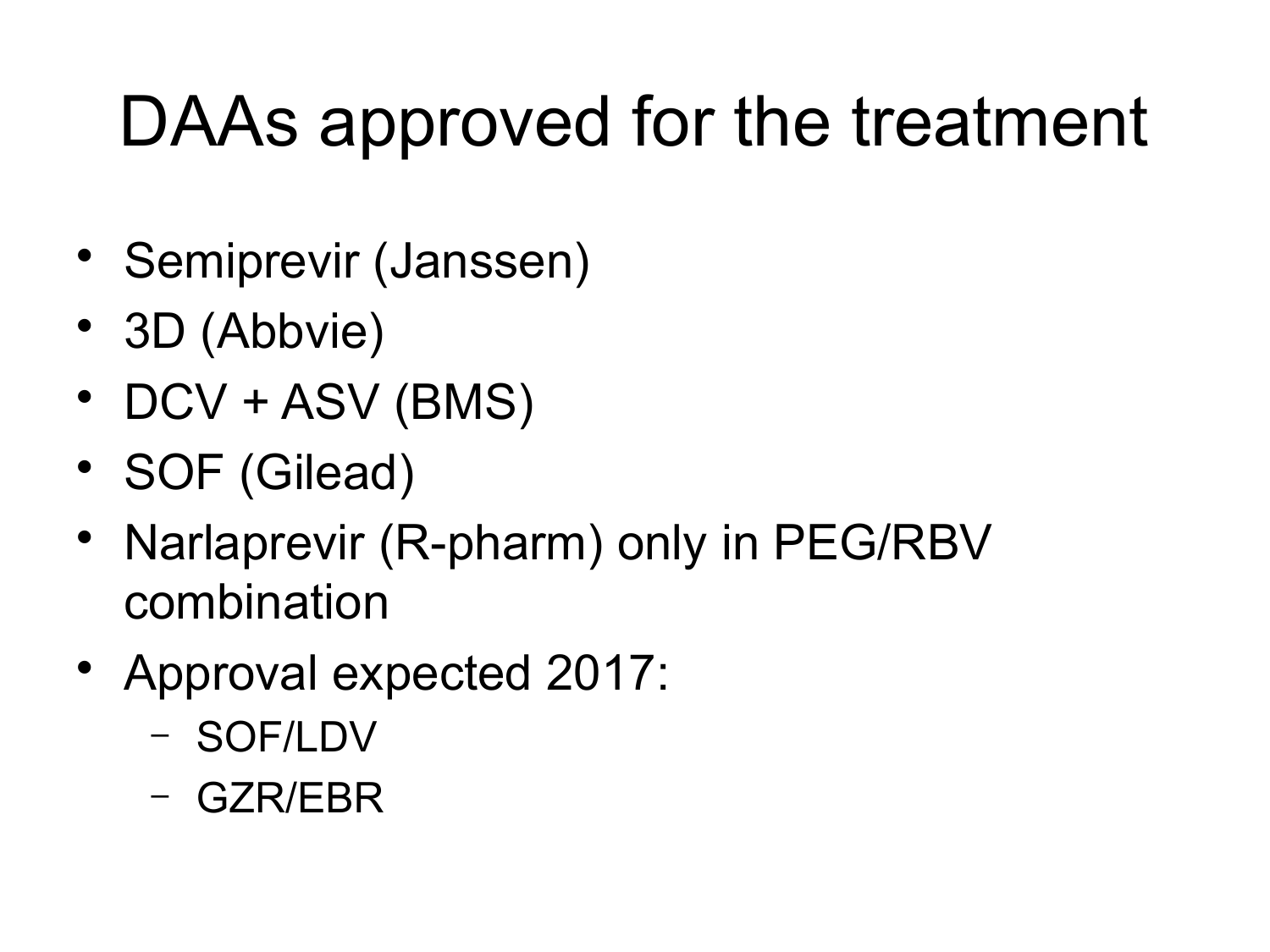## DAAs approved for the treatment

- Semiprevir (Janssen)
- 3D (Abbvie)
- DCV + ASV (BMS)
- SOF (Gilead)
- Narlaprevir (R-pharm) only in PEG/RBV combination
- Approval expected 2017:
	- SOF/LDV
	- GZR/EBR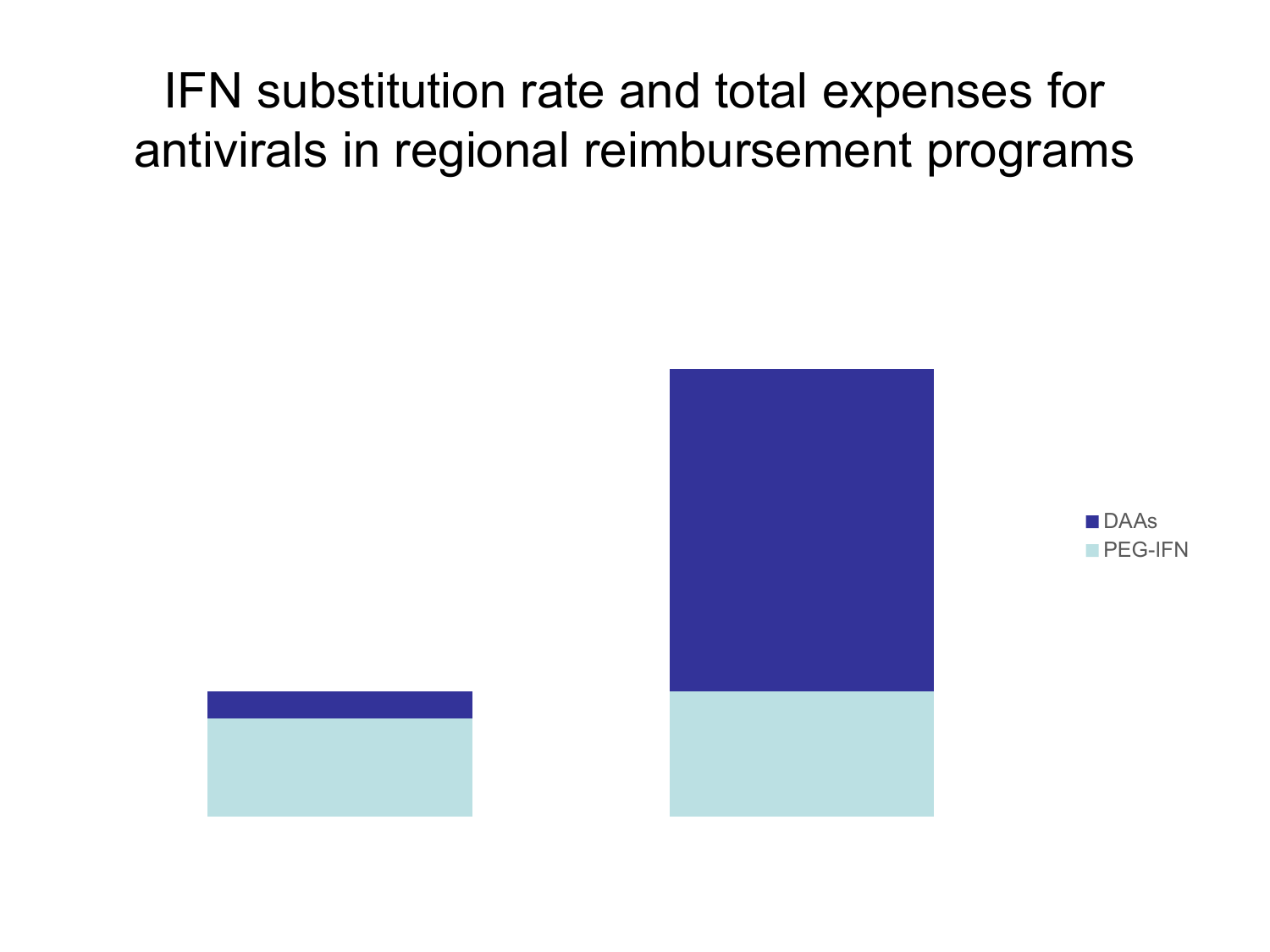#### IFN substitution rate and total expenses for antivirals in regional reimbursement programs





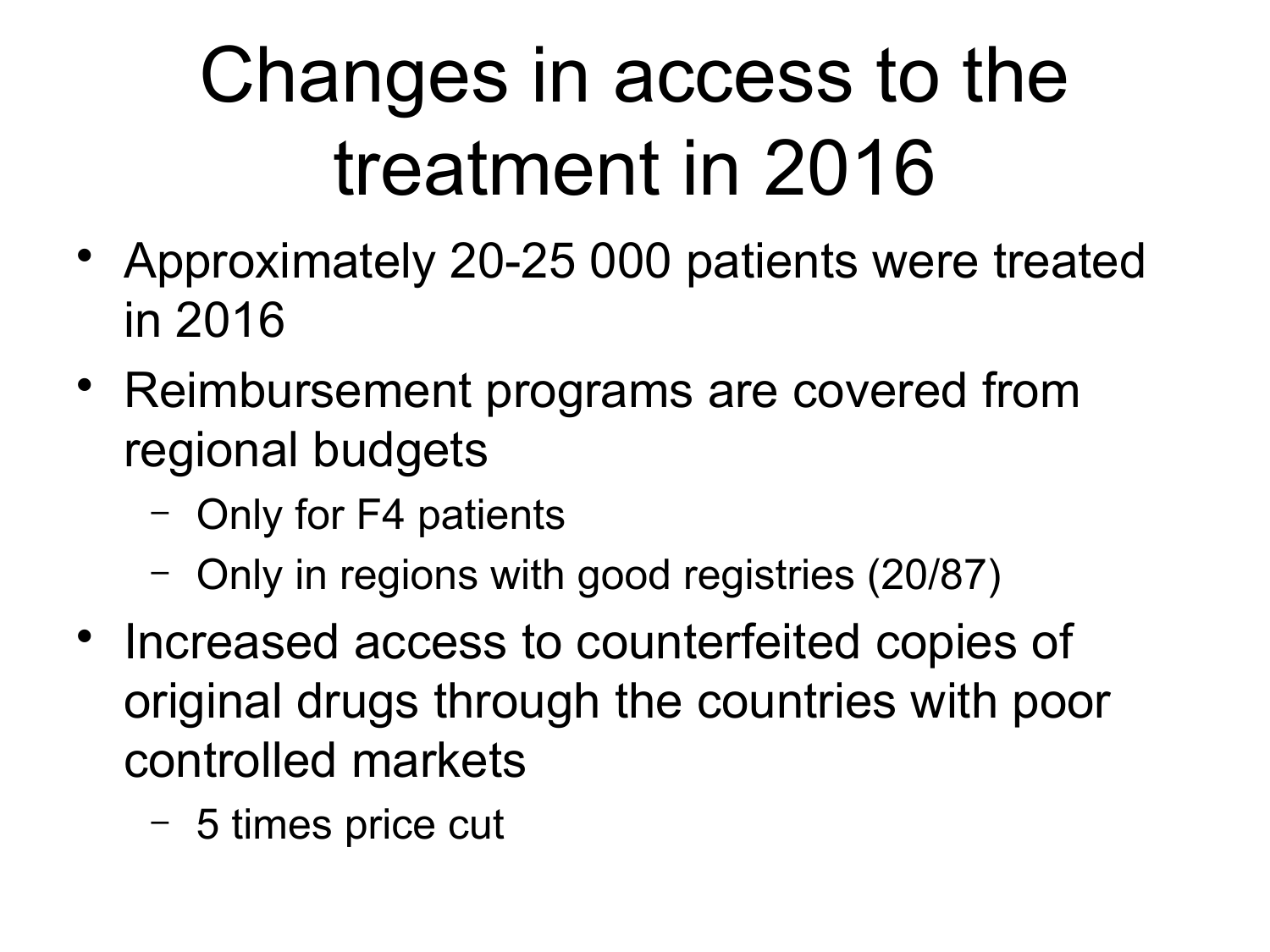# Changes in access to the treatment in 2016

- Approximately 20-25 000 patients were treated in 2016
- Reimbursement programs are covered from regional budgets
	- Only for F4 patients
	- Only in regions with good registries (20/87)
- Increased access to counterfeited copies of original drugs through the countries with poor controlled markets
	- 5 times price cut